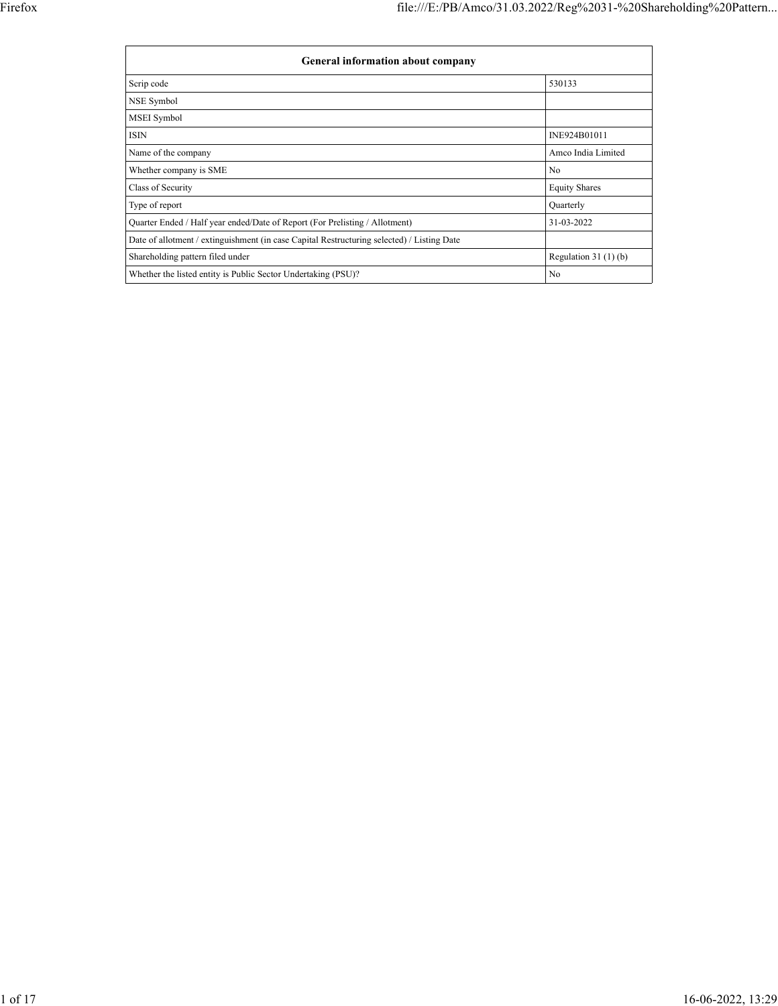| General information about company                                                          |                       |  |  |  |  |  |
|--------------------------------------------------------------------------------------------|-----------------------|--|--|--|--|--|
| Scrip code                                                                                 | 530133                |  |  |  |  |  |
| NSE Symbol                                                                                 |                       |  |  |  |  |  |
| MSEI Symbol                                                                                |                       |  |  |  |  |  |
| <b>ISIN</b>                                                                                | INE924B01011          |  |  |  |  |  |
| Name of the company                                                                        | Amco India Limited    |  |  |  |  |  |
| Whether company is SME                                                                     | N <sub>0</sub>        |  |  |  |  |  |
| Class of Security                                                                          | <b>Equity Shares</b>  |  |  |  |  |  |
| Type of report                                                                             | Quarterly             |  |  |  |  |  |
| Quarter Ended / Half year ended/Date of Report (For Prelisting / Allotment)                | 31-03-2022            |  |  |  |  |  |
| Date of allotment / extinguishment (in case Capital Restructuring selected) / Listing Date |                       |  |  |  |  |  |
| Shareholding pattern filed under                                                           | Regulation $31(1)(b)$ |  |  |  |  |  |
| Whether the listed entity is Public Sector Undertaking (PSU)?                              | No                    |  |  |  |  |  |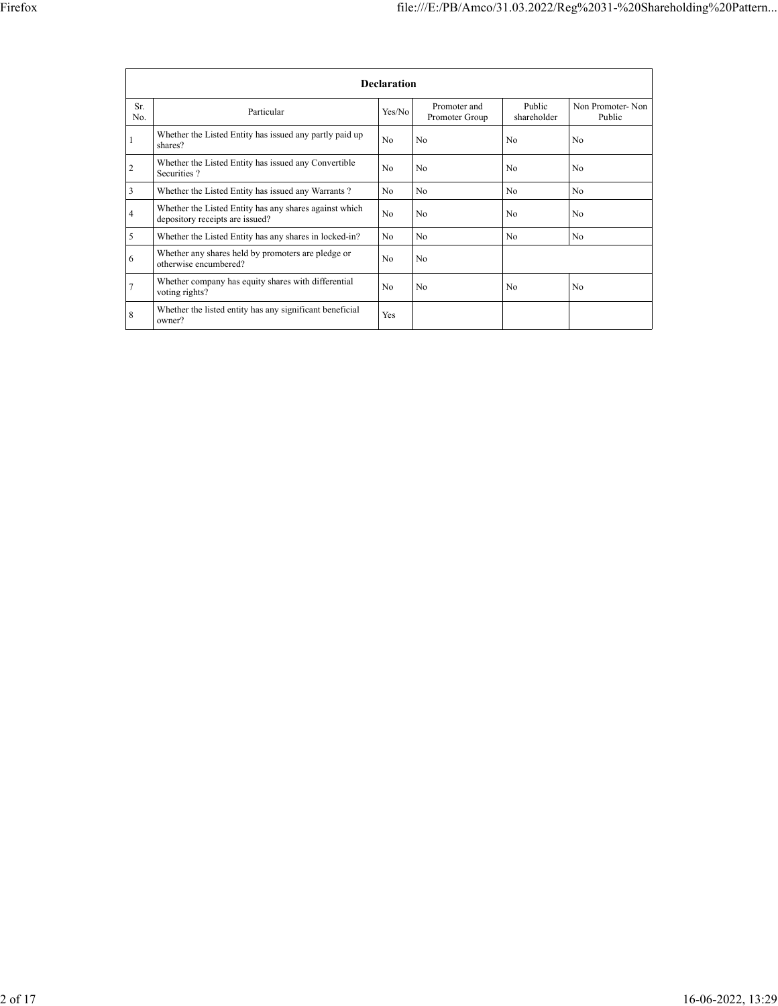|                | <b>Declaration</b>                                                                        |                |                                |                       |                            |  |  |  |
|----------------|-------------------------------------------------------------------------------------------|----------------|--------------------------------|-----------------------|----------------------------|--|--|--|
| Sr.<br>No.     | Particular                                                                                | Yes/No         | Promoter and<br>Promoter Group | Public<br>shareholder | Non Promoter-Non<br>Public |  |  |  |
| ш              | Whether the Listed Entity has issued any partly paid up<br>shares?                        | No             | N <sub>0</sub>                 | N <sub>0</sub>        | N <sub>0</sub>             |  |  |  |
| $\overline{2}$ | Whether the Listed Entity has issued any Convertible<br>Securities?                       | No             | N <sub>0</sub>                 | N <sub>0</sub>        | N <sub>0</sub>             |  |  |  |
| 3              | Whether the Listed Entity has issued any Warrants?                                        | No             | N <sub>0</sub>                 | N <sub>o</sub>        | N <sub>o</sub>             |  |  |  |
| 4              | Whether the Listed Entity has any shares against which<br>depository receipts are issued? | N <sub>0</sub> | N <sub>0</sub>                 | N <sub>0</sub>        | N <sub>0</sub>             |  |  |  |
| 5              | Whether the Listed Entity has any shares in locked-in?                                    | N <sub>0</sub> | N <sub>0</sub>                 | N <sub>0</sub>        | N <sub>0</sub>             |  |  |  |
| 6              | Whether any shares held by promoters are pledge or<br>otherwise encumbered?               | No             | N <sub>0</sub>                 |                       |                            |  |  |  |
| 7              | Whether company has equity shares with differential<br>voting rights?                     | No             | N <sub>0</sub>                 | N <sub>0</sub>        | N <sub>0</sub>             |  |  |  |
| 8              | Whether the listed entity has any significant beneficial<br>owner?                        | Yes            |                                |                       |                            |  |  |  |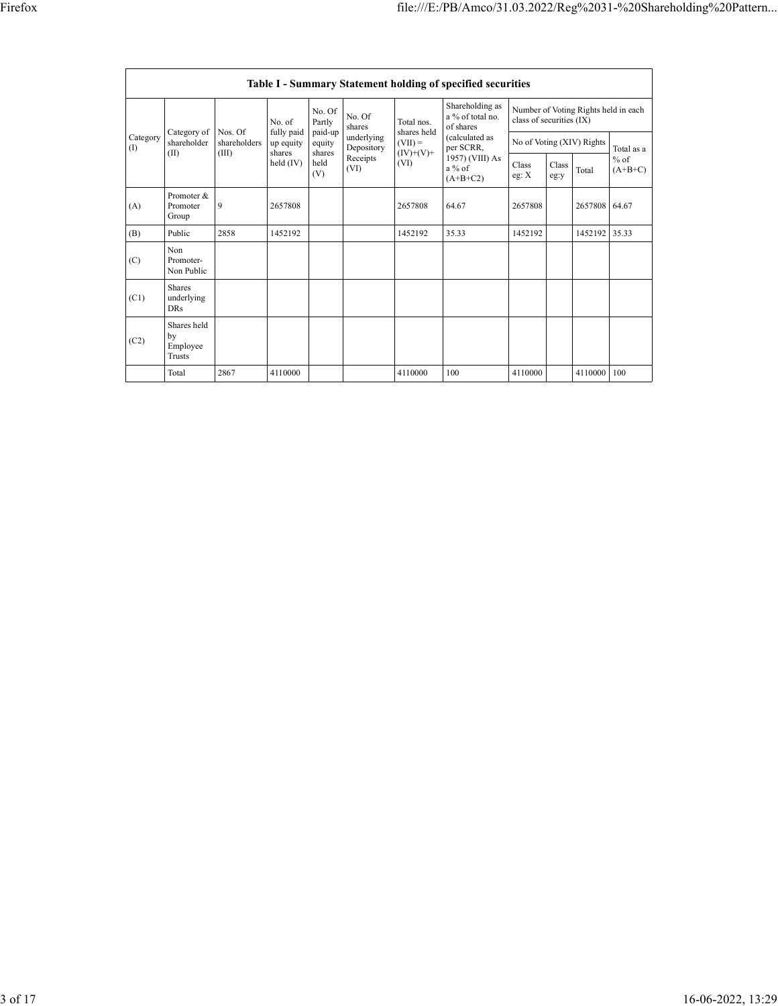|                 | Table I - Summary Statement holding of specified securities |                                  |                                   |                             |                          |                                  |                                                                          |                                                                  |               |         |                     |
|-----------------|-------------------------------------------------------------|----------------------------------|-----------------------------------|-----------------------------|--------------------------|----------------------------------|--------------------------------------------------------------------------|------------------------------------------------------------------|---------------|---------|---------------------|
|                 |                                                             | No. of                           |                                   | No. Of<br>Partly            | No. Of<br>shares         | Total nos.<br>shares held        | Shareholding as<br>a % of total no.<br>of shares                         | Number of Voting Rights held in each<br>class of securities (IX) |               |         |                     |
| Category<br>(1) | Category of<br>shareholder<br>(II)                          | Nos. Of<br>shareholders<br>(III) | fully paid<br>up equity<br>shares | paid-up<br>equity<br>shares | underlying<br>Depository | $(VII) =$<br>$(IV)+(V)+$<br>(VI) | (calculated as<br>per SCRR,<br>1957) (VIII) As<br>$a\%$ of<br>$(A+B+C2)$ | No of Voting (XIV) Rights                                        |               |         | Total as a          |
|                 |                                                             |                                  | $held$ (IV)                       | held<br>(V)                 | Receipts<br>(VI)         |                                  |                                                                          | Class<br>eg: X                                                   | Class<br>eg:y | Total   | $%$ of<br>$(A+B+C)$ |
| (A)             | Promoter &<br>Promoter<br>Group                             | 9                                | 2657808                           |                             |                          | 2657808                          | 64.67                                                                    | 2657808                                                          |               | 2657808 | 64.67               |
| (B)             | Public                                                      | 2858                             | 1452192                           |                             |                          | 1452192                          | 35.33                                                                    | 1452192                                                          |               | 1452192 | 35.33               |
| (C)             | Non<br>Promoter-<br>Non Public                              |                                  |                                   |                             |                          |                                  |                                                                          |                                                                  |               |         |                     |
| (C1)            | <b>Shares</b><br>underlying<br><b>DRs</b>                   |                                  |                                   |                             |                          |                                  |                                                                          |                                                                  |               |         |                     |
| (C2)            | Shares held<br>by<br>Employee<br>Trusts                     |                                  |                                   |                             |                          |                                  |                                                                          |                                                                  |               |         |                     |
|                 | Total                                                       | 2867                             | 4110000                           |                             |                          | 4110000                          | 100                                                                      | 4110000                                                          |               | 4110000 | 100                 |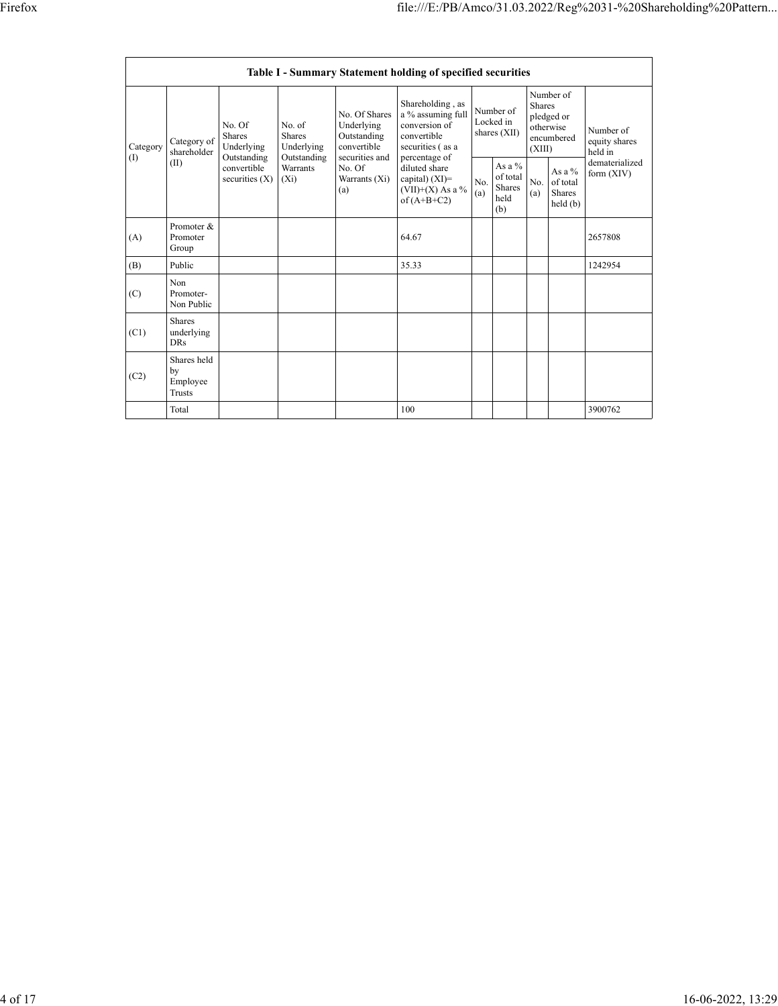|                                                                                                                                                                                                                                 | Table I - Summary Statement holding of specified securities |                                                                        |                                                                             |                                                                                                            |                                        |                                                |                                                                               |  |                                                                         |         |
|---------------------------------------------------------------------------------------------------------------------------------------------------------------------------------------------------------------------------------|-------------------------------------------------------------|------------------------------------------------------------------------|-----------------------------------------------------------------------------|------------------------------------------------------------------------------------------------------------|----------------------------------------|------------------------------------------------|-------------------------------------------------------------------------------|--|-------------------------------------------------------------------------|---------|
| No. of<br>No. Of<br><b>Shares</b><br>Shares<br>Category of<br>Underlying<br>Underlying<br>Category<br>shareholder<br>Outstanding<br>(1)<br>Outstanding<br>(II)<br>convertible<br>Warrants<br>securities $(X)$<br>$(X_i)$<br>(a) |                                                             |                                                                        | No. Of Shares<br>Underlying<br>Outstanding<br>convertible<br>securities and | Shareholding, as<br>a % assuming full<br>conversion of<br>convertible<br>securities (as a<br>percentage of | Number of<br>Locked in<br>shares (XII) |                                                | Number of<br><b>Shares</b><br>pledged or<br>otherwise<br>encumbered<br>(XIII) |  | Number of<br>equity shares<br>held in<br>dematerialized<br>form $(XIV)$ |         |
|                                                                                                                                                                                                                                 | No. Of<br>Warrants (Xi)                                     | diluted share<br>capital) $(XI)=$<br>(VII)+(X) As a %<br>of $(A+B+C2)$ | No.<br>(a)                                                                  | As a $%$<br>of total<br>Shares<br>held<br>(b)                                                              | No.<br>(a)                             | As a %<br>of total<br><b>Shares</b><br>held(b) |                                                                               |  |                                                                         |         |
| (A)                                                                                                                                                                                                                             | Promoter &<br>Promoter<br>Group                             |                                                                        |                                                                             |                                                                                                            | 64.67                                  |                                                |                                                                               |  |                                                                         | 2657808 |
| (B)                                                                                                                                                                                                                             | Public                                                      |                                                                        |                                                                             |                                                                                                            | 35.33                                  |                                                |                                                                               |  |                                                                         | 1242954 |
| (C)                                                                                                                                                                                                                             | Non<br>Promoter-<br>Non Public                              |                                                                        |                                                                             |                                                                                                            |                                        |                                                |                                                                               |  |                                                                         |         |
| (C1)                                                                                                                                                                                                                            | <b>Shares</b><br>underlying<br><b>DRs</b>                   |                                                                        |                                                                             |                                                                                                            |                                        |                                                |                                                                               |  |                                                                         |         |
| (C2)                                                                                                                                                                                                                            | Shares held<br>by<br>Employee<br><b>Trusts</b>              |                                                                        |                                                                             |                                                                                                            |                                        |                                                |                                                                               |  |                                                                         |         |
|                                                                                                                                                                                                                                 | Total                                                       |                                                                        |                                                                             |                                                                                                            | 100                                    |                                                |                                                                               |  |                                                                         | 3900762 |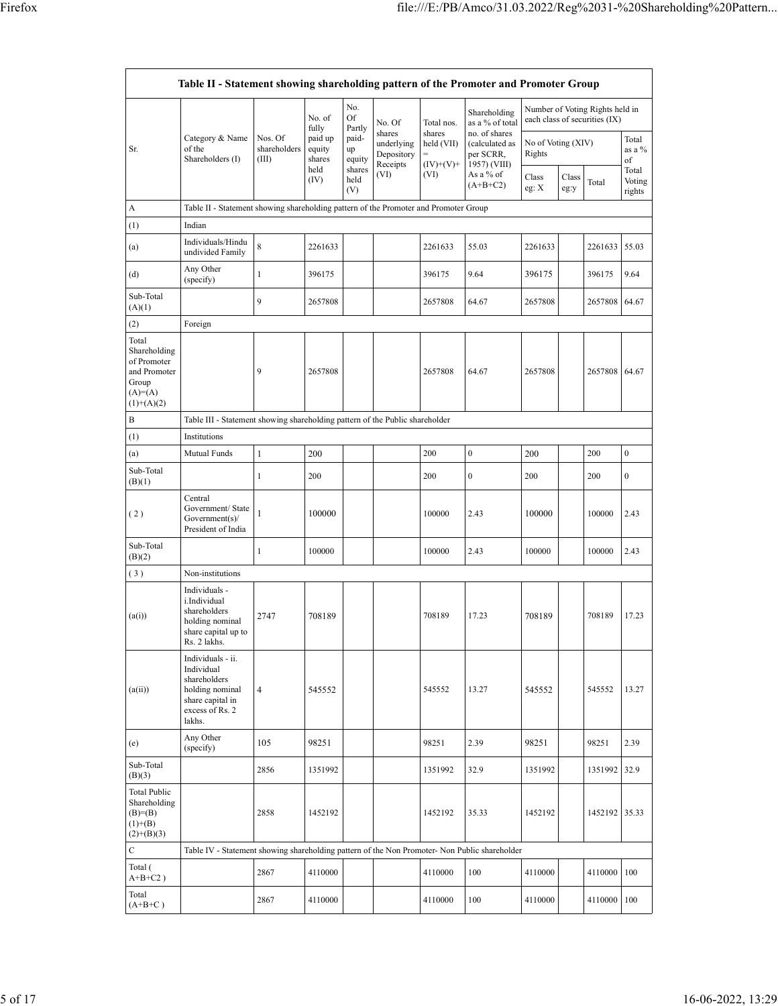| Table II - Statement showing shareholding pattern of the Promoter and Promoter Group      |                                                                                                                     |                                  |                                                |                                              |                                                          |                                                   |                                                                                                 |                                                                                                  |               |         |                           |
|-------------------------------------------------------------------------------------------|---------------------------------------------------------------------------------------------------------------------|----------------------------------|------------------------------------------------|----------------------------------------------|----------------------------------------------------------|---------------------------------------------------|-------------------------------------------------------------------------------------------------|--------------------------------------------------------------------------------------------------|---------------|---------|---------------------------|
| Sr.                                                                                       | Category & Name<br>of the<br>Shareholders (I)                                                                       | Nos. Of<br>shareholders<br>(III) | No. of<br>fully<br>paid up<br>equity<br>shares | No.<br>Of<br>Partly<br>paid-<br>up<br>equity | No. Of<br>shares<br>underlying<br>Depository<br>Receipts | Total nos.<br>shares<br>held (VII)<br>$(IV)+(V)+$ | Shareholding<br>as a % of total<br>no. of shares<br>(calculated as<br>per SCRR,<br>1957) (VIII) | Number of Voting Rights held in<br>each class of securities (IX)<br>No of Voting (XIV)<br>Rights |               |         | Total<br>as a %<br>of     |
|                                                                                           |                                                                                                                     |                                  | held<br>(IV)                                   | shares<br>held<br>(V)                        | (VI)                                                     | (VI)                                              | As a % of<br>$(A+B+C2)$                                                                         | Class<br>eg: X                                                                                   | Class<br>eg:y | Total   | Total<br>Voting<br>rights |
| A                                                                                         | Table II - Statement showing shareholding pattern of the Promoter and Promoter Group                                |                                  |                                                |                                              |                                                          |                                                   |                                                                                                 |                                                                                                  |               |         |                           |
| (1)                                                                                       | Indian                                                                                                              |                                  |                                                |                                              |                                                          |                                                   |                                                                                                 |                                                                                                  |               |         |                           |
| (a)                                                                                       | Individuals/Hindu<br>undivided Family                                                                               | $\,$ 8 $\,$                      | 2261633                                        |                                              |                                                          | 2261633                                           | 55.03                                                                                           | 2261633                                                                                          |               | 2261633 | 55.03                     |
| (d)                                                                                       | Any Other<br>(specify)                                                                                              | 1                                | 396175                                         |                                              |                                                          | 396175                                            | 9.64                                                                                            | 396175                                                                                           |               | 396175  | 9.64                      |
| Sub-Total<br>(A)(1)                                                                       |                                                                                                                     | 9                                | 2657808                                        |                                              |                                                          | 2657808                                           | 64.67                                                                                           | 2657808                                                                                          |               | 2657808 | 64.67                     |
| (2)                                                                                       | Foreign                                                                                                             |                                  |                                                |                                              |                                                          |                                                   |                                                                                                 |                                                                                                  |               |         |                           |
| Total<br>Shareholding<br>of Promoter<br>and Promoter<br>Group<br>$(A)=A)$<br>$(1)+(A)(2)$ |                                                                                                                     | 9                                | 2657808                                        |                                              |                                                          | 2657808                                           | 64.67                                                                                           | 2657808                                                                                          |               | 2657808 | 64.67                     |
| B                                                                                         | Table III - Statement showing shareholding pattern of the Public shareholder                                        |                                  |                                                |                                              |                                                          |                                                   |                                                                                                 |                                                                                                  |               |         |                           |
| $\left(1\right)$                                                                          | Institutions                                                                                                        |                                  |                                                |                                              |                                                          |                                                   |                                                                                                 |                                                                                                  |               |         |                           |
| (a)                                                                                       | Mutual Funds                                                                                                        | 1                                | 200                                            |                                              |                                                          | 200                                               | $\boldsymbol{0}$                                                                                | 200                                                                                              |               | 200     | $\boldsymbol{0}$          |
| Sub-Total<br>(B)(1)                                                                       |                                                                                                                     | 1                                | 200                                            |                                              |                                                          | 200                                               | $\boldsymbol{0}$                                                                                | 200                                                                                              |               | 200     | $\boldsymbol{0}$          |
| (2)                                                                                       | Central<br>Government/ State<br>Government(s)<br>President of India                                                 | 1                                | 100000                                         |                                              |                                                          | 100000                                            | 2.43                                                                                            | 100000                                                                                           |               | 100000  | 2.43                      |
| Sub-Total<br>(B)(2)                                                                       |                                                                                                                     | 1                                | 100000                                         |                                              |                                                          | 100000                                            | 2.43                                                                                            | 100000                                                                                           |               | 100000  | 2.43                      |
| (3)                                                                                       | Non-institutions                                                                                                    |                                  |                                                |                                              |                                                          |                                                   |                                                                                                 |                                                                                                  |               |         |                           |
| (a(i))                                                                                    | Individuals -<br>i.Individual<br>shareholders<br>holding nominal<br>share capital up to<br>Rs. 2 lakhs.             | 2747                             | 708189                                         |                                              |                                                          | 708189                                            | 17.23                                                                                           | 708189                                                                                           |               | 708189  | 17.23                     |
| (a(ii))                                                                                   | Individuals - ii.<br>Individual<br>shareholders<br>holding nominal<br>share capital in<br>excess of Rs. 2<br>lakhs. | $\overline{4}$                   | 545552                                         |                                              |                                                          | 545552                                            | 13.27                                                                                           | 545552                                                                                           |               | 545552  | 13.27                     |
| (e)                                                                                       | Any Other<br>(specify)                                                                                              | 105                              | 98251                                          |                                              |                                                          | 98251                                             | 2.39                                                                                            | 98251                                                                                            |               | 98251   | 2.39                      |
| Sub-Total<br>(B)(3)                                                                       |                                                                                                                     | 2856                             | 1351992                                        |                                              |                                                          | 1351992                                           | 32.9                                                                                            | 1351992                                                                                          |               | 1351992 | 32.9                      |
| Total Public<br>Shareholding<br>$(B)= (B)$<br>$(1)+(B)$<br>$(2)+(B)(3)$                   |                                                                                                                     | 2858                             | 1452192                                        |                                              |                                                          | 1452192                                           | 35.33                                                                                           | 1452192                                                                                          |               | 1452192 | 35.33                     |
| C                                                                                         | Table IV - Statement showing shareholding pattern of the Non Promoter- Non Public shareholder                       |                                  |                                                |                                              |                                                          |                                                   |                                                                                                 |                                                                                                  |               |         |                           |
| Total (<br>$A+B+C2$ )                                                                     |                                                                                                                     | 2867                             | 4110000                                        |                                              |                                                          | 4110000                                           | 100                                                                                             | 4110000                                                                                          |               | 4110000 | 100                       |
| Total<br>$(A+B+C)$                                                                        |                                                                                                                     | 2867                             | 4110000                                        |                                              |                                                          | 4110000                                           | 100                                                                                             | 4110000                                                                                          |               | 4110000 | 100                       |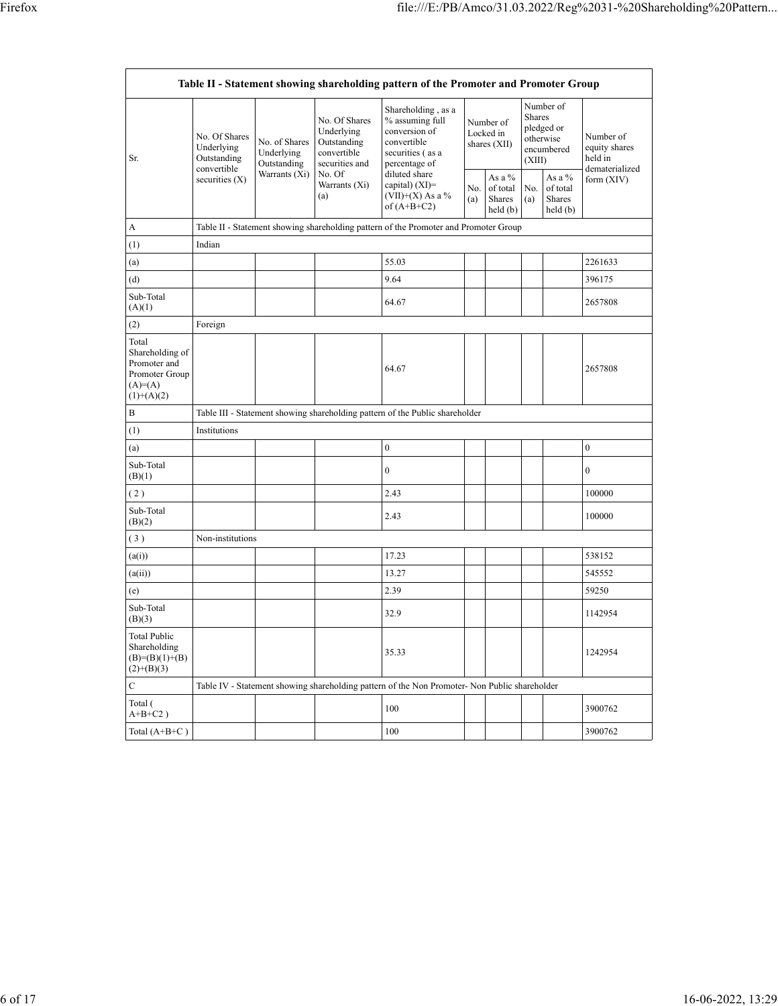| Table II - Statement showing shareholding pattern of the Promoter and Promoter Group   |                                                                               |                                                                |                                                                                                               |                                                                                                            |                                        |                                                |                                                                               |                                         |                                                         |
|----------------------------------------------------------------------------------------|-------------------------------------------------------------------------------|----------------------------------------------------------------|---------------------------------------------------------------------------------------------------------------|------------------------------------------------------------------------------------------------------------|----------------------------------------|------------------------------------------------|-------------------------------------------------------------------------------|-----------------------------------------|---------------------------------------------------------|
| Sr.                                                                                    | No. Of Shares<br>Underlying<br>Outstanding<br>convertible<br>securities $(X)$ | No. of Shares<br>Underlying<br>Outstanding<br>Warrants $(X_i)$ | No. Of Shares<br>Underlying<br>Outstanding<br>convertible<br>securities and<br>No. Of<br>Warrants (Xi)<br>(a) | Shareholding, as a<br>% assuming full<br>conversion of<br>convertible<br>securities (as a<br>percentage of | Number of<br>Locked in<br>shares (XII) |                                                | Number of<br><b>Shares</b><br>pledged or<br>otherwise<br>encumbered<br>(XIII) |                                         | Number of<br>equity shares<br>held in<br>dematerialized |
|                                                                                        |                                                                               |                                                                |                                                                                                               | diluted share<br>capital) (XI)=<br>$(VII)+(X)$ As a %<br>of $(A+B+C2)$                                     | No.<br>(a)                             | As a %<br>of total<br><b>Shares</b><br>held(b) | No.<br>(a)                                                                    | As a %<br>of total<br>Shares<br>held(b) | form (XIV)                                              |
| А                                                                                      |                                                                               |                                                                |                                                                                                               | Table II - Statement showing shareholding pattern of the Promoter and Promoter Group                       |                                        |                                                |                                                                               |                                         |                                                         |
| (1)                                                                                    | Indian                                                                        |                                                                |                                                                                                               |                                                                                                            |                                        |                                                |                                                                               |                                         |                                                         |
| (a)                                                                                    |                                                                               |                                                                |                                                                                                               | 55.03                                                                                                      |                                        |                                                |                                                                               |                                         | 2261633                                                 |
| (d)                                                                                    |                                                                               |                                                                |                                                                                                               | 9.64                                                                                                       |                                        |                                                |                                                                               |                                         | 396175                                                  |
| Sub-Total<br>(A)(1)                                                                    |                                                                               |                                                                |                                                                                                               | 64.67                                                                                                      |                                        |                                                |                                                                               |                                         | 2657808                                                 |
| (2)                                                                                    | Foreign                                                                       |                                                                |                                                                                                               |                                                                                                            |                                        |                                                |                                                                               |                                         |                                                         |
| Total<br>Shareholding of<br>Promoter and<br>Promoter Group<br>$(A)=A)$<br>$(1)+(A)(2)$ |                                                                               |                                                                |                                                                                                               | 64.67                                                                                                      |                                        |                                                |                                                                               |                                         | 2657808                                                 |
| B                                                                                      |                                                                               |                                                                |                                                                                                               | Table III - Statement showing shareholding pattern of the Public shareholder                               |                                        |                                                |                                                                               |                                         |                                                         |
| (1)                                                                                    | Institutions                                                                  |                                                                |                                                                                                               |                                                                                                            |                                        |                                                |                                                                               |                                         |                                                         |
| (a)                                                                                    |                                                                               |                                                                |                                                                                                               | $\boldsymbol{0}$                                                                                           |                                        |                                                |                                                                               |                                         | $\boldsymbol{0}$                                        |
| Sub-Total<br>(B)(1)                                                                    |                                                                               |                                                                |                                                                                                               | $\boldsymbol{0}$                                                                                           |                                        |                                                |                                                                               |                                         | $\overline{0}$                                          |
| (2)                                                                                    |                                                                               |                                                                |                                                                                                               | 2.43                                                                                                       |                                        |                                                |                                                                               |                                         | 100000                                                  |
| Sub-Total<br>(B)(2)                                                                    |                                                                               |                                                                |                                                                                                               | 2.43                                                                                                       |                                        |                                                |                                                                               |                                         | 100000                                                  |
| (3)                                                                                    | Non-institutions                                                              |                                                                |                                                                                                               |                                                                                                            |                                        |                                                |                                                                               |                                         |                                                         |
| (a(i))                                                                                 |                                                                               |                                                                |                                                                                                               | 17.23                                                                                                      |                                        |                                                |                                                                               |                                         | 538152                                                  |
| (a(ii))                                                                                |                                                                               |                                                                |                                                                                                               | 13.27                                                                                                      |                                        |                                                |                                                                               |                                         | 545552                                                  |
| (e)                                                                                    |                                                                               |                                                                |                                                                                                               | 2.39                                                                                                       |                                        |                                                |                                                                               |                                         | 59250                                                   |
| Sub-Total<br>(B)(3)                                                                    |                                                                               |                                                                |                                                                                                               | 32.9                                                                                                       |                                        |                                                |                                                                               |                                         | 1142954                                                 |
| <b>Total Public</b><br>Shareholding<br>$(B)=(B)(1)+(B)$<br>$(2)+(B)(3)$                |                                                                               |                                                                |                                                                                                               | 35.33                                                                                                      |                                        |                                                |                                                                               |                                         | 1242954                                                 |
| С                                                                                      |                                                                               |                                                                |                                                                                                               | Table IV - Statement showing shareholding pattern of the Non Promoter- Non Public shareholder              |                                        |                                                |                                                                               |                                         |                                                         |
| Total (<br>$A+B+C2$ )                                                                  |                                                                               |                                                                |                                                                                                               | 100                                                                                                        |                                        |                                                |                                                                               |                                         | 3900762                                                 |
| Total $(A+B+C)$                                                                        |                                                                               |                                                                |                                                                                                               | 100                                                                                                        |                                        |                                                |                                                                               |                                         | 3900762                                                 |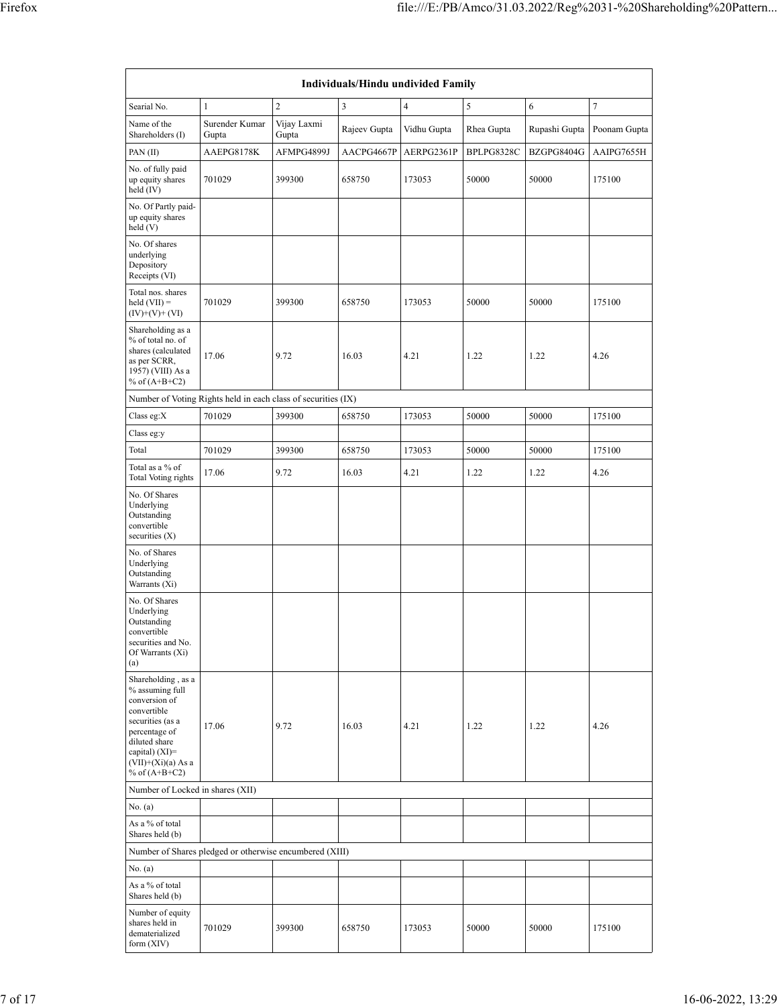| Individuals/Hindu undivided Family                                                                                                                                                       |                                                               |                      |              |                |            |               |              |  |  |
|------------------------------------------------------------------------------------------------------------------------------------------------------------------------------------------|---------------------------------------------------------------|----------------------|--------------|----------------|------------|---------------|--------------|--|--|
| Searial No.                                                                                                                                                                              | $\mathbf{1}$                                                  | $\overline{c}$       | 3            | $\overline{4}$ | 5          | 6             | $\sqrt{ }$   |  |  |
| Name of the<br>Shareholders (I)                                                                                                                                                          | Surender Kumar<br>Gupta                                       | Vijay Laxmi<br>Gupta | Rajeev Gupta | Vidhu Gupta    | Rhea Gupta | Rupashi Gupta | Poonam Gupta |  |  |
| PAN(II)                                                                                                                                                                                  | AAEPG8178K                                                    | AFMPG4899J           | AACPG4667P   | AERPG2361P     | BPLPG8328C | BZGPG8404G    | AAIPG7655H   |  |  |
| No. of fully paid<br>up equity shares<br>held (IV)                                                                                                                                       | 701029                                                        | 399300               | 658750       | 173053         | 50000      | 50000         | 175100       |  |  |
| No. Of Partly paid-<br>up equity shares<br>held (V)                                                                                                                                      |                                                               |                      |              |                |            |               |              |  |  |
| No. Of shares<br>underlying<br>Depository<br>Receipts (VI)                                                                                                                               |                                                               |                      |              |                |            |               |              |  |  |
| Total nos. shares<br>$held (VII) =$<br>$(IV)+(V)+(VI)$                                                                                                                                   | 701029                                                        | 399300               | 658750       | 173053         | 50000      | 50000         | 175100       |  |  |
| Shareholding as a<br>% of total no. of<br>shares (calculated<br>as per SCRR,<br>1957) (VIII) As a<br>% of $(A+B+C2)$                                                                     | 17.06                                                         | 9.72                 | 16.03        | 4.21           | 1.22       | 1.22          | 4.26         |  |  |
|                                                                                                                                                                                          | Number of Voting Rights held in each class of securities (IX) |                      |              |                |            |               |              |  |  |
| Class eg: $X$                                                                                                                                                                            | 701029                                                        | 399300               | 658750       | 173053         | 50000      | 50000         | 175100       |  |  |
| Class eg:y                                                                                                                                                                               |                                                               |                      |              |                |            |               |              |  |  |
| Total                                                                                                                                                                                    | 701029                                                        | 399300               | 658750       | 173053         | 50000      | 50000         | 175100       |  |  |
| Total as a % of<br>Total Voting rights                                                                                                                                                   | 17.06                                                         | 9.72                 | 16.03        | 4.21           | 1.22       | 1.22          | 4.26         |  |  |
| No. Of Shares<br>Underlying<br>Outstanding<br>convertible<br>securities (X)                                                                                                              |                                                               |                      |              |                |            |               |              |  |  |
| No. of Shares<br>Underlying<br>Outstanding<br>Warrants (Xi)                                                                                                                              |                                                               |                      |              |                |            |               |              |  |  |
| No. Of Shares<br>Underlying<br>Outstanding<br>convertible<br>securities and No.<br>Of Warrants (Xi)<br>(a)                                                                               |                                                               |                      |              |                |            |               |              |  |  |
| Shareholding, as a<br>% assuming full<br>conversion of<br>convertible<br>securities (as a<br>percentage of<br>diluted share<br>capital) (XI)=<br>$(VII)+(Xi)(a)$ As a<br>% of $(A+B+C2)$ | 17.06                                                         | 9.72                 | 16.03        | 4.21           | 1.22       | 1.22          | 4.26         |  |  |
| Number of Locked in shares (XII)                                                                                                                                                         |                                                               |                      |              |                |            |               |              |  |  |
| No. (a)                                                                                                                                                                                  |                                                               |                      |              |                |            |               |              |  |  |
| As a % of total<br>Shares held (b)                                                                                                                                                       |                                                               |                      |              |                |            |               |              |  |  |
|                                                                                                                                                                                          | Number of Shares pledged or otherwise encumbered (XIII)       |                      |              |                |            |               |              |  |  |
| No. (a)<br>As a % of total<br>Shares held (b)                                                                                                                                            |                                                               |                      |              |                |            |               |              |  |  |
| Number of equity<br>shares held in<br>dematerialized<br>form (XIV)                                                                                                                       | 701029                                                        | 399300               | 658750       | 173053         | 50000      | 50000         | 175100       |  |  |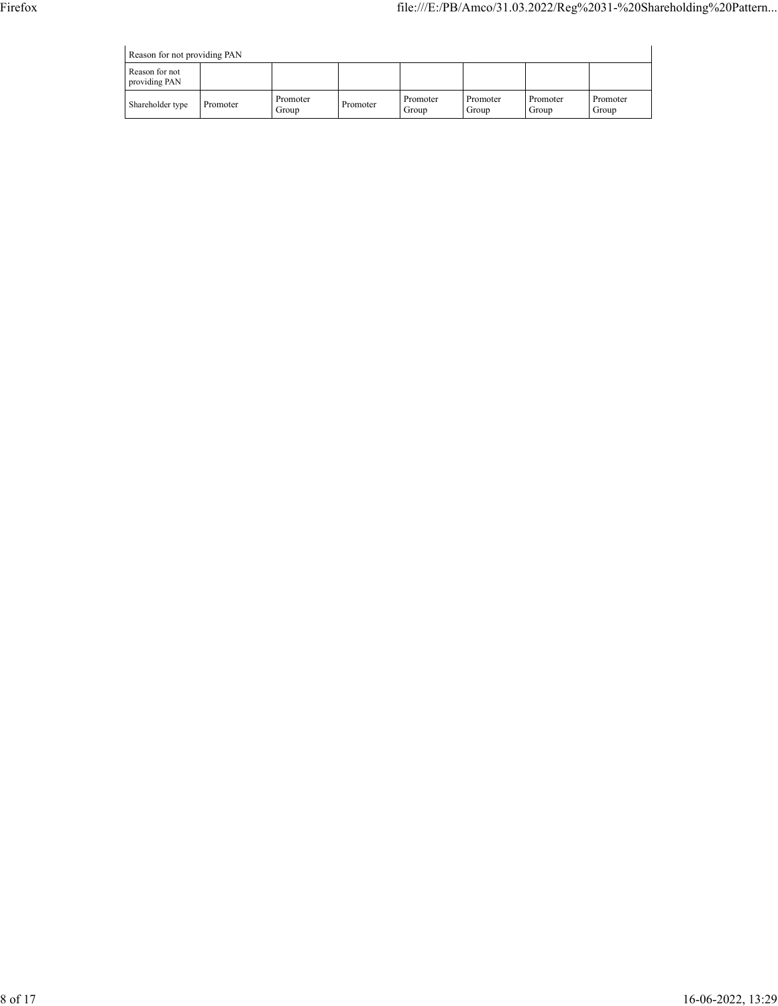|  | Reason for not providing PAN |  |
|--|------------------------------|--|

| Reason for not providing PAN    |          |                   |          |                   |                   |                   |                   |  |  |
|---------------------------------|----------|-------------------|----------|-------------------|-------------------|-------------------|-------------------|--|--|
| Reason for not<br>providing PAN |          |                   |          |                   |                   |                   |                   |  |  |
| Shareholder type                | Promoter | Promoter<br>Group | Promoter | Promoter<br>Group | Promoter<br>Group | Promoter<br>Group | Promoter<br>Group |  |  |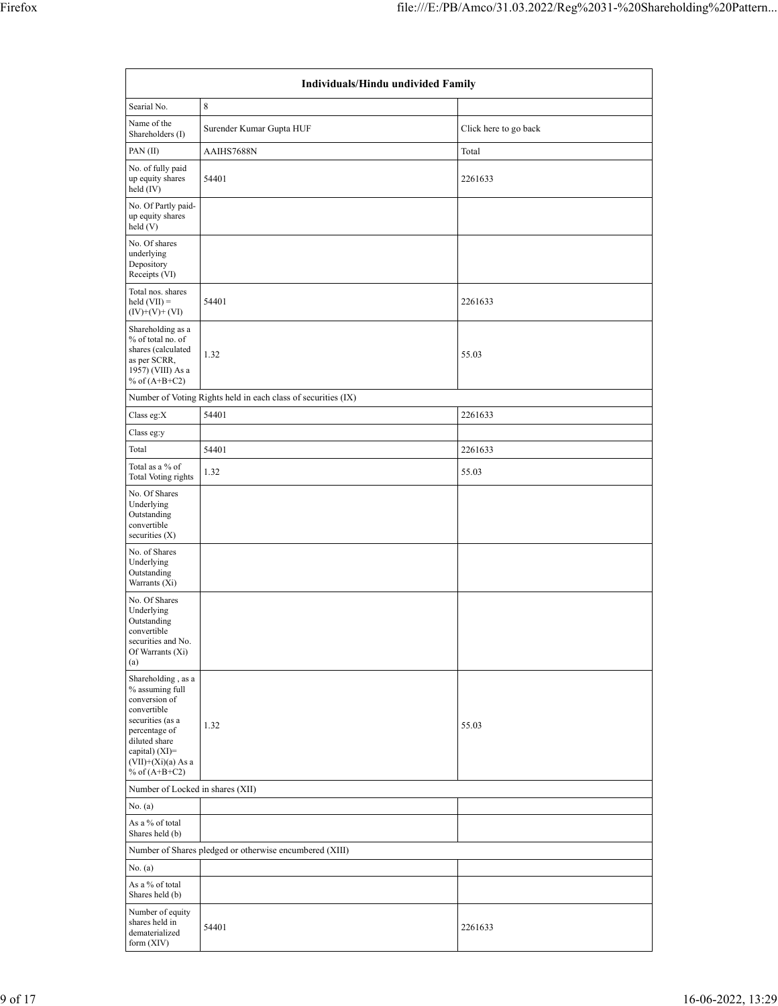| Individuals/Hindu undivided Family                                                                                                                                                         |                                                               |                       |  |  |  |  |  |
|--------------------------------------------------------------------------------------------------------------------------------------------------------------------------------------------|---------------------------------------------------------------|-----------------------|--|--|--|--|--|
| Searial No.                                                                                                                                                                                | 8                                                             |                       |  |  |  |  |  |
| Name of the<br>Shareholders (I)                                                                                                                                                            | Surender Kumar Gupta HUF                                      | Click here to go back |  |  |  |  |  |
| PAN(II)                                                                                                                                                                                    | AAIHS7688N                                                    | Total                 |  |  |  |  |  |
| No. of fully paid<br>up equity shares<br>held (IV)                                                                                                                                         | 54401                                                         | 2261633               |  |  |  |  |  |
| No. Of Partly paid-<br>up equity shares<br>held(V)                                                                                                                                         |                                                               |                       |  |  |  |  |  |
| No. Of shares<br>underlying<br>Depository<br>Receipts (VI)                                                                                                                                 |                                                               |                       |  |  |  |  |  |
| Total nos. shares<br>$\text{held (VII)} =$<br>$(IV)+(V)+(VI)$                                                                                                                              | 54401                                                         | 2261633               |  |  |  |  |  |
| Shareholding as a<br>% of total no. of<br>shares (calculated<br>as per SCRR,<br>1957) (VIII) As a<br>% of $(A+B+C2)$                                                                       | 1.32                                                          | 55.03                 |  |  |  |  |  |
|                                                                                                                                                                                            | Number of Voting Rights held in each class of securities (IX) |                       |  |  |  |  |  |
| Class eg:X                                                                                                                                                                                 | 54401                                                         | 2261633               |  |  |  |  |  |
| Class eg:y                                                                                                                                                                                 |                                                               |                       |  |  |  |  |  |
| Total                                                                                                                                                                                      | 54401                                                         | 2261633               |  |  |  |  |  |
| Total as a % of<br><b>Total Voting rights</b>                                                                                                                                              | 1.32                                                          | 55.03                 |  |  |  |  |  |
| No. Of Shares<br>Underlying<br>Outstanding<br>convertible<br>securities $(X)$                                                                                                              |                                                               |                       |  |  |  |  |  |
| No. of Shares<br>Underlying<br>Outstanding<br>Warrants (Xi)                                                                                                                                |                                                               |                       |  |  |  |  |  |
| No. Of Shares<br>Underlying<br>Outstanding<br>convertible<br>securities and No.<br>Of Warrants (Xi)<br>(a)                                                                                 |                                                               |                       |  |  |  |  |  |
| Shareholding, as a<br>% assuming full<br>conversion of<br>convertible<br>securities (as a<br>percentage of<br>diluted share<br>capital) $(XI)=$<br>$(VII)+(Xi)(a)$ As a<br>% of $(A+B+C2)$ | 1.32                                                          | 55.03                 |  |  |  |  |  |
| Number of Locked in shares (XII)                                                                                                                                                           |                                                               |                       |  |  |  |  |  |
| No. (a)                                                                                                                                                                                    |                                                               |                       |  |  |  |  |  |
| As a % of total<br>Shares held (b)                                                                                                                                                         |                                                               |                       |  |  |  |  |  |
|                                                                                                                                                                                            | Number of Shares pledged or otherwise encumbered (XIII)       |                       |  |  |  |  |  |
| No. (a)                                                                                                                                                                                    |                                                               |                       |  |  |  |  |  |
| As a % of total<br>Shares held (b)                                                                                                                                                         |                                                               |                       |  |  |  |  |  |
| Number of equity<br>shares held in<br>dematerialized<br>form (XIV)                                                                                                                         | 54401                                                         | 2261633               |  |  |  |  |  |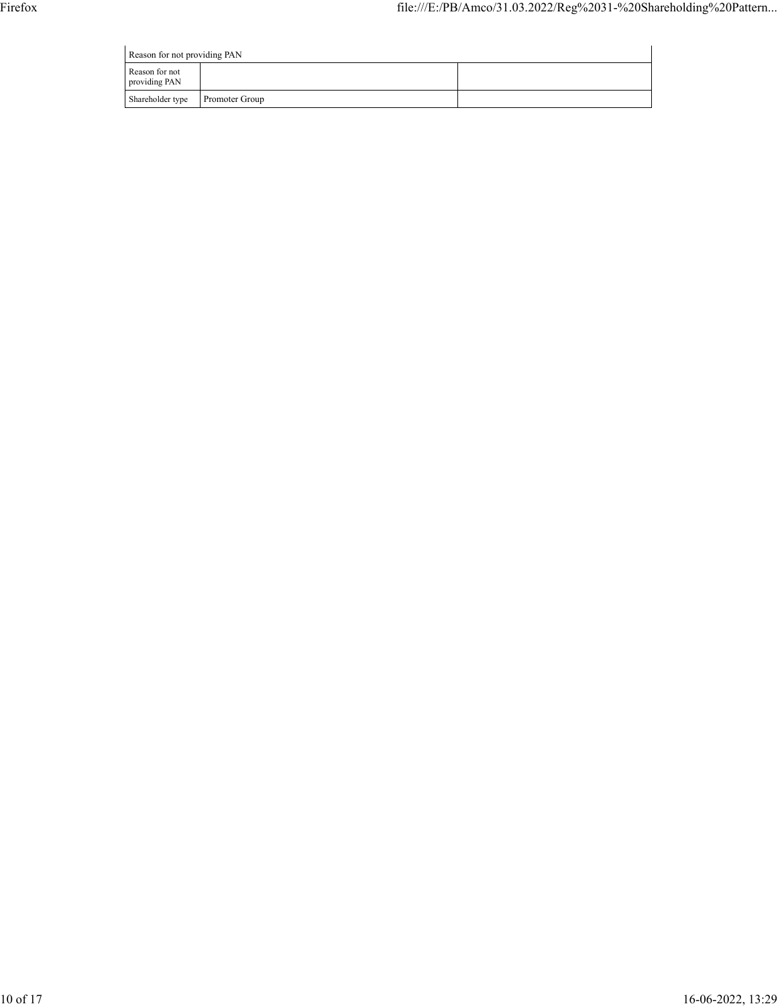| Reason for not providing PAN    |                |  |  |  |  |  |  |  |
|---------------------------------|----------------|--|--|--|--|--|--|--|
| Reason for not<br>providing PAN |                |  |  |  |  |  |  |  |
| Shareholder type                | Promoter Group |  |  |  |  |  |  |  |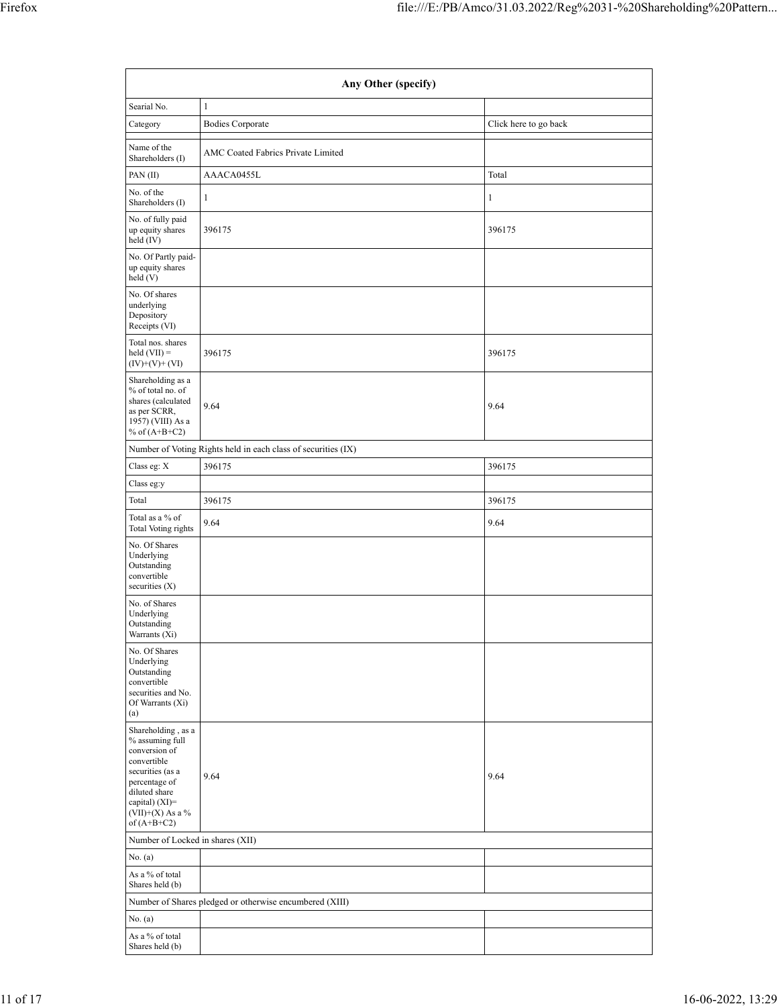| Any Other (specify)                                                                                                                                                                |                                                               |                       |  |  |  |  |  |  |
|------------------------------------------------------------------------------------------------------------------------------------------------------------------------------------|---------------------------------------------------------------|-----------------------|--|--|--|--|--|--|
| Searial No.                                                                                                                                                                        | $\mathbf{1}$                                                  |                       |  |  |  |  |  |  |
| Category                                                                                                                                                                           | <b>Bodies Corporate</b>                                       | Click here to go back |  |  |  |  |  |  |
| Name of the<br>Shareholders (I)                                                                                                                                                    | AMC Coated Fabrics Private Limited                            |                       |  |  |  |  |  |  |
| PAN(II)                                                                                                                                                                            | AAACA0455L                                                    | Total                 |  |  |  |  |  |  |
| No. of the<br>Shareholders (I)                                                                                                                                                     | 1                                                             | 1                     |  |  |  |  |  |  |
| No. of fully paid<br>up equity shares<br>held (IV)                                                                                                                                 | 396175                                                        | 396175                |  |  |  |  |  |  |
| No. Of Partly paid-<br>up equity shares<br>held (V)                                                                                                                                |                                                               |                       |  |  |  |  |  |  |
| No. Of shares<br>underlying<br>Depository<br>Receipts (VI)                                                                                                                         |                                                               |                       |  |  |  |  |  |  |
| Total nos. shares<br>$held (VII) =$<br>$(IV)+(V)+(VI)$                                                                                                                             | 396175                                                        | 396175                |  |  |  |  |  |  |
| Shareholding as a<br>% of total no. of<br>shares (calculated<br>as per SCRR,<br>1957) (VIII) As a<br>% of $(A+B+C2)$                                                               | 9.64                                                          | 9.64                  |  |  |  |  |  |  |
|                                                                                                                                                                                    | Number of Voting Rights held in each class of securities (IX) |                       |  |  |  |  |  |  |
| Class eg: X                                                                                                                                                                        | 396175                                                        | 396175                |  |  |  |  |  |  |
| Class eg:y                                                                                                                                                                         |                                                               |                       |  |  |  |  |  |  |
| Total                                                                                                                                                                              | 396175                                                        | 396175                |  |  |  |  |  |  |
| Total as a % of<br>Total Voting rights                                                                                                                                             | 9.64                                                          | 9.64                  |  |  |  |  |  |  |
| No. Of Shares<br>Underlying<br>Outstanding<br>convertible<br>securities $(X)$                                                                                                      |                                                               |                       |  |  |  |  |  |  |
| No. of Shares<br>Underlying<br>Outstanding<br>Warrants (Xi)                                                                                                                        |                                                               |                       |  |  |  |  |  |  |
| No. Of Shares<br>Underlying<br>Outstanding<br>convertible<br>securities and No.<br>Of Warrants (Xi)<br>(a)                                                                         |                                                               |                       |  |  |  |  |  |  |
| Shareholding, as a<br>% assuming full<br>conversion of<br>convertible<br>securities (as a<br>percentage of<br>diluted share<br>capital) (XI)=<br>(VII)+(X) As a %<br>of $(A+B+C2)$ | 9.64                                                          | 9.64                  |  |  |  |  |  |  |
| Number of Locked in shares (XII)                                                                                                                                                   |                                                               |                       |  |  |  |  |  |  |
| No. (a)                                                                                                                                                                            |                                                               |                       |  |  |  |  |  |  |
| As a % of total<br>Shares held (b)                                                                                                                                                 |                                                               |                       |  |  |  |  |  |  |
|                                                                                                                                                                                    | Number of Shares pledged or otherwise encumbered (XIII)       |                       |  |  |  |  |  |  |
| No. (a)                                                                                                                                                                            |                                                               |                       |  |  |  |  |  |  |
| As a % of total<br>Shares held (b)                                                                                                                                                 |                                                               |                       |  |  |  |  |  |  |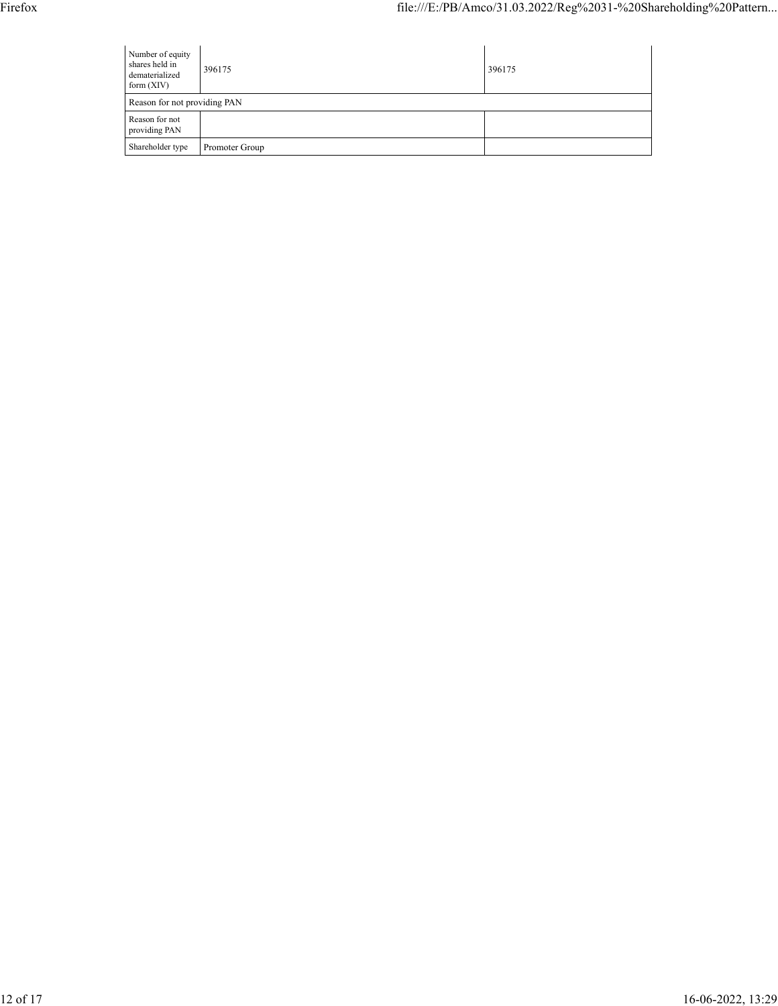| Number of equity<br>shares held in<br>dematerialized<br>form $(XIV)$ | 396175         | 396175 |
|----------------------------------------------------------------------|----------------|--------|
|                                                                      |                |        |
| Reason for not providing PAN<br>Reason for not<br>providing PAN      |                |        |
| Shareholder type                                                     | Promoter Group |        |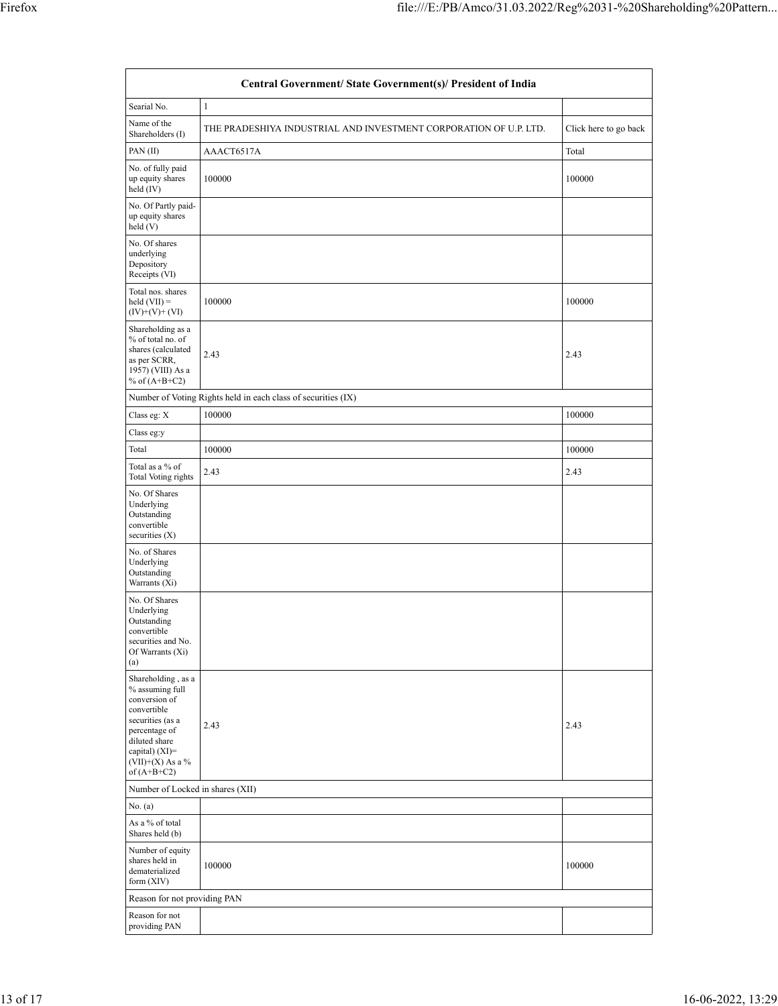|                                                                                                                                                                                      | Central Government/ State Government(s)/ President of India       |                       |
|--------------------------------------------------------------------------------------------------------------------------------------------------------------------------------------|-------------------------------------------------------------------|-----------------------|
| Searial No.                                                                                                                                                                          | $\mathbf{1}$                                                      |                       |
| Name of the<br>Shareholders (I)                                                                                                                                                      | THE PRADESHIYA INDUSTRIAL AND INVESTMENT CORPORATION OF U.P. LTD. | Click here to go back |
| PAN(II)                                                                                                                                                                              | AAACT6517A                                                        | Total                 |
| No. of fully paid<br>up equity shares<br>held (IV)                                                                                                                                   | 100000                                                            | 100000                |
| No. Of Partly paid-<br>up equity shares<br>held (V)                                                                                                                                  |                                                                   |                       |
| No. Of shares<br>underlying<br>Depository<br>Receipts (VI)                                                                                                                           |                                                                   |                       |
| Total nos. shares<br>held $(VII) =$<br>$(IV)+(V)+(VI)$                                                                                                                               | 100000                                                            | 100000                |
| Shareholding as a<br>% of total no. of<br>shares (calculated<br>as per SCRR,<br>1957) (VIII) As a<br>% of $(A+B+C2)$                                                                 | 2.43                                                              | 2.43                  |
|                                                                                                                                                                                      | Number of Voting Rights held in each class of securities (IX)     |                       |
| Class eg: X                                                                                                                                                                          | 100000                                                            | 100000                |
| Class eg:y                                                                                                                                                                           |                                                                   |                       |
| Total                                                                                                                                                                                | 100000                                                            | 100000                |
| Total as a % of<br>Total Voting rights                                                                                                                                               | 2.43                                                              | 2.43                  |
| No. Of Shares<br>Underlying<br>Outstanding<br>convertible<br>securities $(X)$                                                                                                        |                                                                   |                       |
| No. of Shares<br>Underlying<br>Outstanding<br>Warrants (Xi)                                                                                                                          |                                                                   |                       |
| No. Of Shares<br>Underlying<br>Outstanding<br>convertible<br>securities and No.<br>Of Warrants (Xi)<br>(a)                                                                           |                                                                   |                       |
| Shareholding, as a<br>% assuming full<br>conversion of<br>convertible<br>securities (as a<br>percentage of<br>diluted share<br>capital) (XI)=<br>$(VII)+(X)$ As a %<br>of $(A+B+C2)$ | 2.43                                                              | 2.43                  |
| Number of Locked in shares (XII)<br>No. (a)                                                                                                                                          |                                                                   |                       |
| As a % of total                                                                                                                                                                      |                                                                   |                       |
| Shares held (b)                                                                                                                                                                      |                                                                   |                       |
| Number of equity<br>shares held in<br>dematerialized<br>form $(XIV)$                                                                                                                 | 100000                                                            | 100000                |
| Reason for not providing PAN                                                                                                                                                         |                                                                   |                       |
| Reason for not<br>providing PAN                                                                                                                                                      |                                                                   |                       |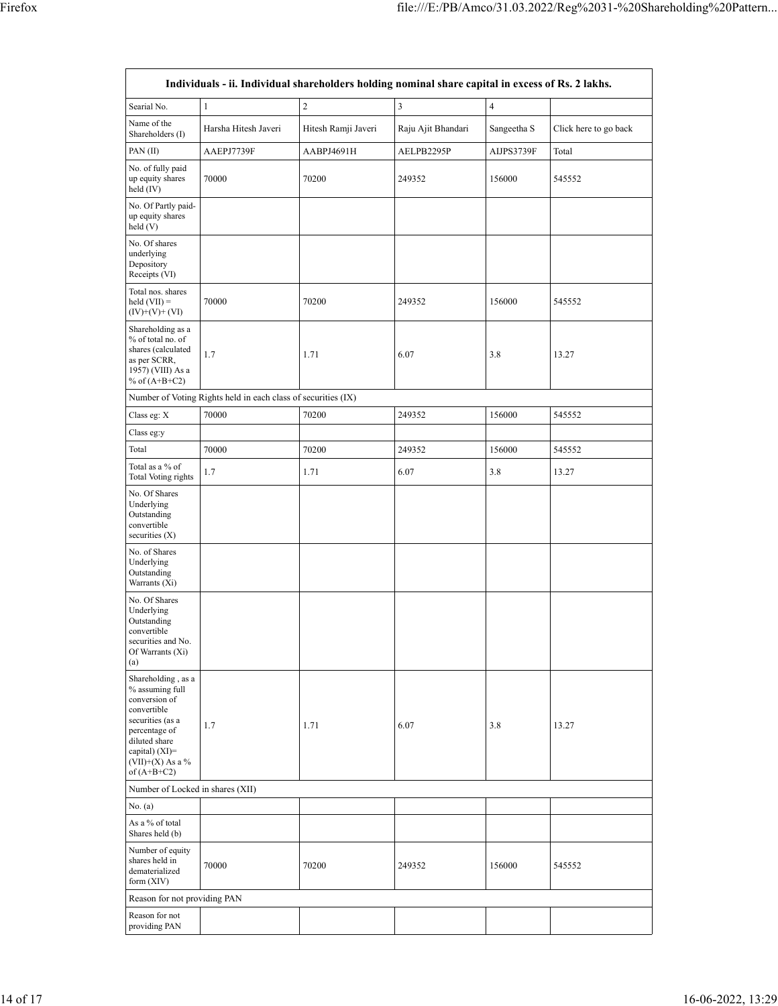|                                                                                                                                                                                        | Individuals - ii. Individual shareholders holding nominal share capital in excess of Rs. 2 lakhs. |                     |                    |                |                       |  |  |  |  |  |  |  |
|----------------------------------------------------------------------------------------------------------------------------------------------------------------------------------------|---------------------------------------------------------------------------------------------------|---------------------|--------------------|----------------|-----------------------|--|--|--|--|--|--|--|
| Searial No.                                                                                                                                                                            | $\mathbf{1}$                                                                                      | $\overline{2}$      | $\overline{3}$     | $\overline{4}$ |                       |  |  |  |  |  |  |  |
| Name of the<br>Shareholders (I)                                                                                                                                                        | Harsha Hitesh Javeri                                                                              | Hitesh Ramji Javeri | Raju Ajit Bhandari | Sangeetha S    | Click here to go back |  |  |  |  |  |  |  |
| PAN(II)                                                                                                                                                                                | AAEPJ7739F                                                                                        | AABPJ4691H          | AELPB2295P         | AIJPS3739F     | Total                 |  |  |  |  |  |  |  |
| No. of fully paid<br>up equity shares<br>held (IV)                                                                                                                                     | 70000                                                                                             | 70200               | 249352             | 156000         | 545552                |  |  |  |  |  |  |  |
| No. Of Partly paid-<br>up equity shares<br>held(V)                                                                                                                                     |                                                                                                   |                     |                    |                |                       |  |  |  |  |  |  |  |
| No. Of shares<br>underlying<br>Depository<br>Receipts (VI)                                                                                                                             |                                                                                                   |                     |                    |                |                       |  |  |  |  |  |  |  |
| Total nos. shares<br>$\text{held (VII)} =$<br>$(IV)+(V)+(VI)$                                                                                                                          | 70000                                                                                             | 70200               | 249352             | 156000         | 545552                |  |  |  |  |  |  |  |
| Shareholding as a<br>% of total no. of<br>shares (calculated<br>as per SCRR,<br>1957) (VIII) As a<br>% of $(A+B+C2)$                                                                   | 1.7                                                                                               | 1.71                | 6.07               | 3.8            | 13.27                 |  |  |  |  |  |  |  |
|                                                                                                                                                                                        | Number of Voting Rights held in each class of securities (IX)                                     |                     |                    |                |                       |  |  |  |  |  |  |  |
| Class eg: X                                                                                                                                                                            | 70000                                                                                             | 70200               | 249352             | 156000         | 545552                |  |  |  |  |  |  |  |
| Class eg:y                                                                                                                                                                             |                                                                                                   |                     |                    |                |                       |  |  |  |  |  |  |  |
| Total                                                                                                                                                                                  | 70000                                                                                             | 70200               | 249352             | 156000         | 545552                |  |  |  |  |  |  |  |
| Total as a % of<br>Total Voting rights                                                                                                                                                 | 1.7                                                                                               | 1.71                | 6.07               | 3.8            | 13.27                 |  |  |  |  |  |  |  |
| No. Of Shares<br>Underlying<br>Outstanding<br>convertible<br>securities $(X)$                                                                                                          |                                                                                                   |                     |                    |                |                       |  |  |  |  |  |  |  |
| No. of Shares<br>Underlying<br>Outstanding<br>Warrants (Xi)                                                                                                                            |                                                                                                   |                     |                    |                |                       |  |  |  |  |  |  |  |
| No. Of Shares<br>Underlying<br>Outstanding<br>convertible<br>securities and No.<br>Of Warrants (Xi)<br>(a)                                                                             |                                                                                                   |                     |                    |                |                       |  |  |  |  |  |  |  |
| Shareholding, as a<br>% assuming full<br>conversion of<br>convertible<br>securities (as a<br>percentage of<br>diluted share<br>capital) $(XI)=$<br>$(VII)+(X)$ As a %<br>of $(A+B+C2)$ | 1.7                                                                                               | 1.71                | 6.07               | 3.8            | 13.27                 |  |  |  |  |  |  |  |
| Number of Locked in shares (XII)                                                                                                                                                       |                                                                                                   |                     |                    |                |                       |  |  |  |  |  |  |  |
| No. (a)                                                                                                                                                                                |                                                                                                   |                     |                    |                |                       |  |  |  |  |  |  |  |
| As a % of total<br>Shares held (b)                                                                                                                                                     |                                                                                                   |                     |                    |                |                       |  |  |  |  |  |  |  |
| Number of equity<br>shares held in<br>dematerialized<br>form $(XIV)$                                                                                                                   | 70000                                                                                             | 70200               | 249352             | 156000         | 545552                |  |  |  |  |  |  |  |
| Reason for not providing PAN                                                                                                                                                           |                                                                                                   |                     |                    |                |                       |  |  |  |  |  |  |  |
| Reason for not<br>providing PAN                                                                                                                                                        |                                                                                                   |                     |                    |                |                       |  |  |  |  |  |  |  |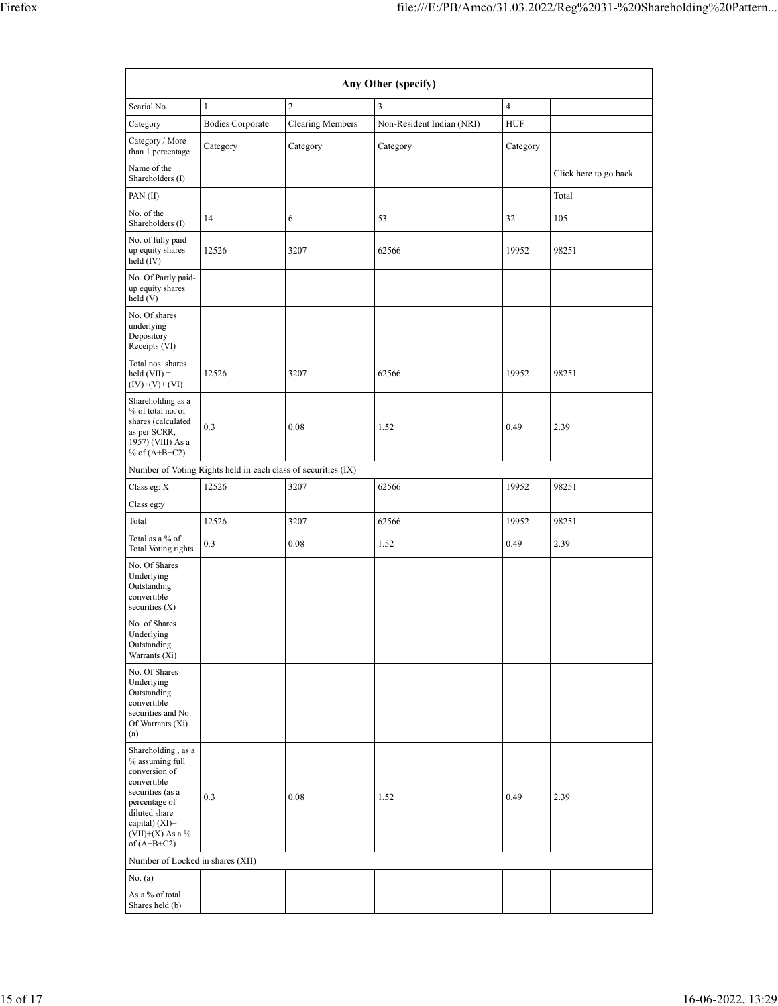| Searial No.                                                                                                                                                                          | $\mathbf{1}$                                                                                                          | $\overline{c}$                                                                                                                                                                                                                                                                                                                                                | 3                         | $\overline{\mathbf{4}}$ |  |  |
|--------------------------------------------------------------------------------------------------------------------------------------------------------------------------------------|-----------------------------------------------------------------------------------------------------------------------|---------------------------------------------------------------------------------------------------------------------------------------------------------------------------------------------------------------------------------------------------------------------------------------------------------------------------------------------------------------|---------------------------|-------------------------|--|--|
| Category                                                                                                                                                                             | <b>Bodies Corporate</b>                                                                                               | <b>Clearing Members</b>                                                                                                                                                                                                                                                                                                                                       | Non-Resident Indian (NRI) | <b>HUF</b>              |  |  |
| Category / More<br>than 1 percentage                                                                                                                                                 | Category                                                                                                              | Any Other (specify)<br>Category<br>Category<br>Category<br>Click here to go back<br>Total<br>53<br>32<br>105<br>6<br>3207<br>62566<br>19952<br>98251<br>3207<br>62566<br>19952<br>98251<br>0.08<br>1.52<br>0.49<br>2.39<br>62566<br>3207<br>19952<br>98251<br>3207<br>62566<br>19952<br>98251<br>2.39<br>0.08<br>1.52<br>0.49<br>0.08<br>2.39<br>1.52<br>0.49 |                           |                         |  |  |
| Name of the<br>Shareholders (I)                                                                                                                                                      |                                                                                                                       |                                                                                                                                                                                                                                                                                                                                                               |                           |                         |  |  |
| PAN (II)                                                                                                                                                                             |                                                                                                                       |                                                                                                                                                                                                                                                                                                                                                               |                           |                         |  |  |
| No. of the<br>Shareholders (I)                                                                                                                                                       | 14<br>12526<br>12526<br>0.3<br>Number of Voting Rights held in each class of securities (IX)<br>12526<br>12526<br>0.3 |                                                                                                                                                                                                                                                                                                                                                               |                           |                         |  |  |
| No. of fully paid<br>up equity shares<br>held (IV)                                                                                                                                   | 0.3<br>Number of Locked in shares (XII)                                                                               |                                                                                                                                                                                                                                                                                                                                                               |                           |                         |  |  |
| No. Of Partly paid-<br>up equity shares<br>held (V)                                                                                                                                  |                                                                                                                       |                                                                                                                                                                                                                                                                                                                                                               |                           |                         |  |  |
| No. Of shares<br>underlying<br>Depository<br>Receipts (VI)                                                                                                                           |                                                                                                                       |                                                                                                                                                                                                                                                                                                                                                               |                           |                         |  |  |
| Total nos. shares<br>$\text{held (VII)} =$<br>$(IV)+(V)+(VI)$                                                                                                                        |                                                                                                                       |                                                                                                                                                                                                                                                                                                                                                               |                           |                         |  |  |
| Shareholding as a<br>% of total no. of<br>shares (calculated<br>as per SCRR,<br>1957) (VIII) As a<br>% of $(A+B+C2)$                                                                 |                                                                                                                       |                                                                                                                                                                                                                                                                                                                                                               |                           |                         |  |  |
|                                                                                                                                                                                      |                                                                                                                       |                                                                                                                                                                                                                                                                                                                                                               |                           |                         |  |  |
| Class eg: X                                                                                                                                                                          |                                                                                                                       |                                                                                                                                                                                                                                                                                                                                                               |                           |                         |  |  |
| Class eg:y                                                                                                                                                                           |                                                                                                                       |                                                                                                                                                                                                                                                                                                                                                               |                           |                         |  |  |
| Total                                                                                                                                                                                |                                                                                                                       |                                                                                                                                                                                                                                                                                                                                                               |                           |                         |  |  |
| Total as a % of<br>Total Voting rights                                                                                                                                               |                                                                                                                       |                                                                                                                                                                                                                                                                                                                                                               |                           |                         |  |  |
| No. Of Shares<br>Underlying<br>Outstanding<br>convertible<br>securities (X)                                                                                                          |                                                                                                                       |                                                                                                                                                                                                                                                                                                                                                               |                           |                         |  |  |
| No. of Shares<br>Underlying<br>Outstanding<br>Warrants (Xi)                                                                                                                          |                                                                                                                       |                                                                                                                                                                                                                                                                                                                                                               |                           |                         |  |  |
| No. Of Shares<br>Underlying<br>Outstanding<br>convertible<br>securities and No.<br>Of Warrants (Xi)<br>(a)                                                                           |                                                                                                                       |                                                                                                                                                                                                                                                                                                                                                               |                           |                         |  |  |
| Shareholding, as a<br>% assuming full<br>conversion of<br>convertible<br>securities (as a<br>percentage of<br>diluted share<br>capital) (XI)=<br>$(VII)+(X)$ As a %<br>of $(A+B+C2)$ |                                                                                                                       |                                                                                                                                                                                                                                                                                                                                                               |                           |                         |  |  |
|                                                                                                                                                                                      |                                                                                                                       |                                                                                                                                                                                                                                                                                                                                                               |                           |                         |  |  |
| No. (a)                                                                                                                                                                              |                                                                                                                       |                                                                                                                                                                                                                                                                                                                                                               |                           |                         |  |  |
| As a % of total<br>Shares held (b)                                                                                                                                                   |                                                                                                                       |                                                                                                                                                                                                                                                                                                                                                               |                           |                         |  |  |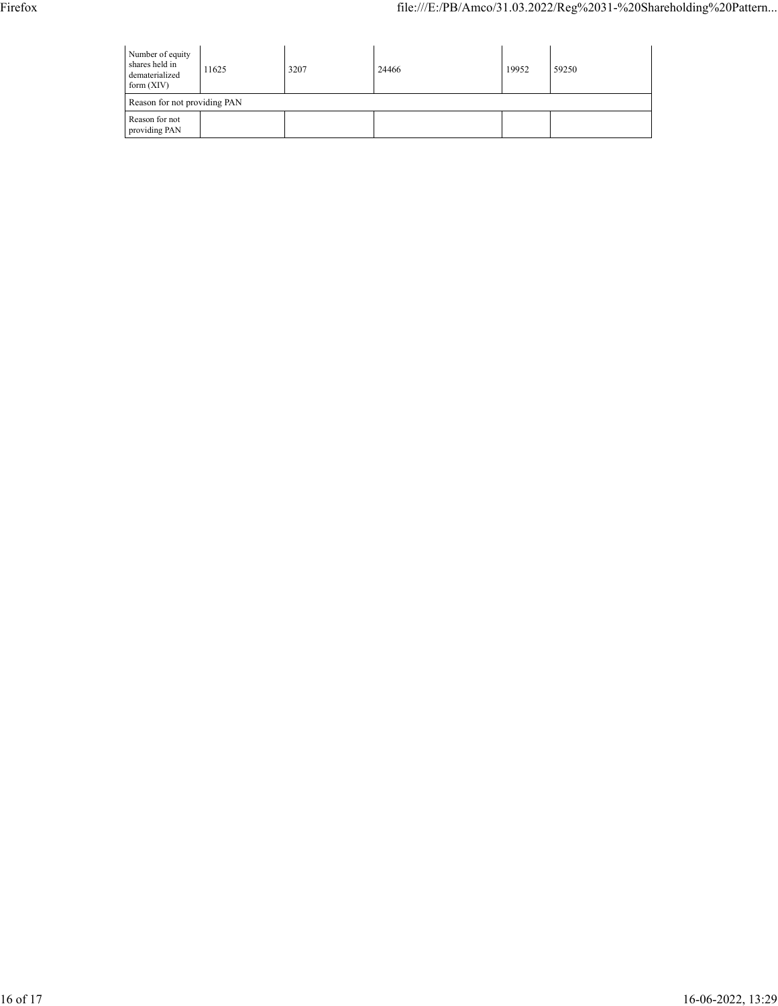| Number of equity<br>shares held in<br>11625<br>dematerialized<br>form $(XIV)$ |  | 3207 | 24466 | 19952 | 59250 |  |  |  |
|-------------------------------------------------------------------------------|--|------|-------|-------|-------|--|--|--|
| Reason for not providing PAN                                                  |  |      |       |       |       |  |  |  |
| Reason for not<br>providing PAN                                               |  |      |       |       |       |  |  |  |